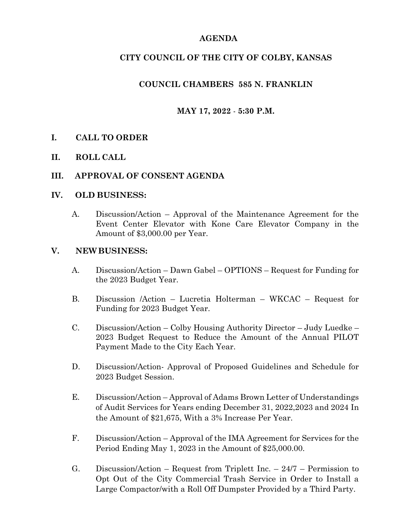## **AGENDA**

# **CITY COUNCIL OF THE CITY OF COLBY, KANSAS**

# **COUNCIL CHAMBERS 585 N. FRANKLIN**

# **MAY 17, 2022** - **5:30 P.M.**

## **I. CALL TO ORDER**

**II. ROLL CALL**

## **III. APPROVAL OF CONSENT AGENDA**

#### **IV. OLD BUSINESS:**

A. Discussion/Action – Approval of the Maintenance Agreement for the Event Center Elevator with Kone Care Elevator Company in the Amount of \$3,000.00 per Year.

#### **V. NEWBUSINESS:**

- A. Discussion/Action Dawn Gabel OPTIONS Request for Funding for the 2023 Budget Year.
- B. Discussion /Action Lucretia Holterman WKCAC Request for Funding for 2023 Budget Year.
- C. Discussion/Action Colby Housing Authority Director Judy Luedke 2023 Budget Request to Reduce the Amount of the Annual PILOT Payment Made to the City Each Year.
- D. Discussion/Action- Approval of Proposed Guidelines and Schedule for 2023 Budget Session.
- E. Discussion/Action Approval of Adams Brown Letter of Understandings of Audit Services for Years ending December 31, 2022,2023 and 2024 In the Amount of \$21,675, With a 3% Increase Per Year.
- F. Discussion/Action Approval of the IMA Agreement for Services for the Period Ending May 1, 2023 in the Amount of \$25,000.00.
- G. Discussion/Action Request from Triplett Inc. 24/7 Permission to Opt Out of the City Commercial Trash Service in Order to Install a Large Compactor/with a Roll Off Dumpster Provided by a Third Party.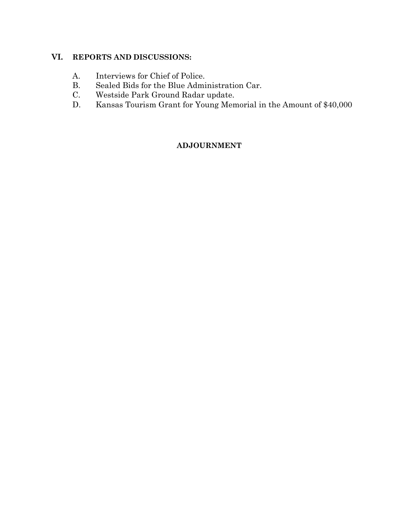# **VI. REPORTS AND DISCUSSIONS:**

- A. Interviews for Chief of Police.
- B. Sealed Bids for the Blue Administration Car.
- C. Westside Park Ground Radar update.
- D. Kansas Tourism Grant for Young Memorial in the Amount of \$40,000

## **ADJOURNMENT**